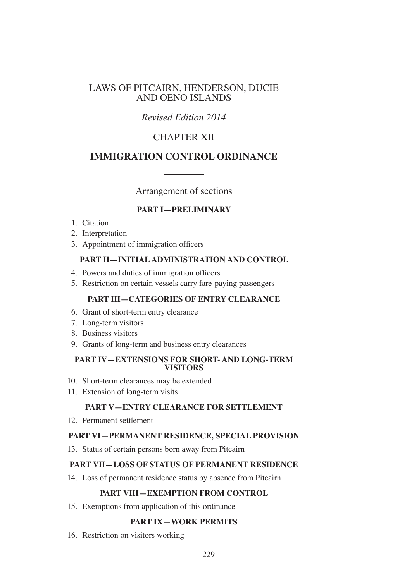# LAWS OF PITCAIRN, HENDERSON, DUCIE AND OENO ISLANDS

# *Revised Edition 2014*

# CHAPTER XII

# **IMMIGRATION CONTROL ORDINANCE**

Arrangement of sections

# **PART I—PRELIMINARY**

- 1. Citation
- 2. Interpretation
- 3. Appointment of immigration officers

# **PART II—INITIAL ADMINISTRATION AND CONTROL**

- 4. Powers and duties of immigration officers
- 5. Restriction on certain vessels carry fare-paying passengers

# **PART III—CATEGORIES OF ENTRY CLEARANCE**

- 6. Grant of short-term entry clearance
- 7. Long-term visitors
- 8. Business visitors
- 9. Grants of long-term and business entry clearances

### **PART IV—EXTENSIONS FOR SHORT- AND LONG-TERM VISITORS**

- 10. Short-term clearances may be extended
- 11. Extension of long-term visits

# **PART V—ENTRY CLEARANCE FOR SETTLEMENT**

12. Permanent settlement

# **PART VI—PERMANENT RESIDENCE, SPECIAL PROVISION**

13. Status of certain persons born away from Pitcairn

# **PART VII—LOSS OF STATUS OF PERMANENT RESIDENCE**

14. Loss of permanent residence status by absence from Pitcairn

### **PART VIII—EXEMPTION FROM CONTROL**

15. Exemptions from application of this ordinance

# **PART IX—WORK PERMITS**

16. Restriction on visitors working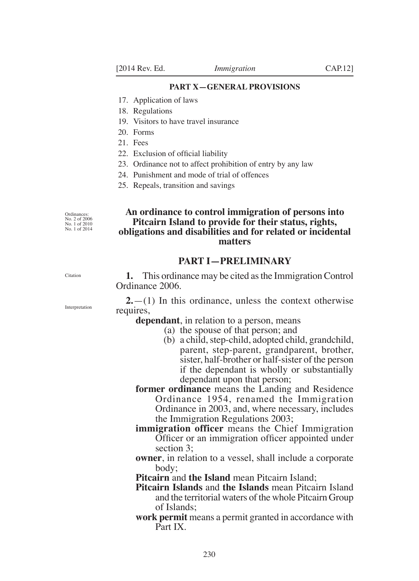#### **PART X—general provisions**

- 17. Application of laws
- 18. Regulations
- 19. Visitors to have travel insurance
- 20. Forms
- 21. Fees
- 22. Exclusion of official liability
- 23. Ordinance not to affect prohibition of entry by any law
- 24. Punishment and mode of trial of offences
- 25. Repeals, transition and savings

Ordinances: No. 2 of 2006 No. 1 of 2010 No. 1 of 2014

## **An ordinance to control immigration of persons into Pitcairn Island to provide for their status, rights, obligations and disabilities and for related or incidental matters**

# **PART I—Preliminary**

**1.** This ordinance may be cited as the Immigration Control Ordinance 2006.

**2.**—(1) In this ordinance, unless the context otherwise requires,

**dependant**, in relation to a person, means

- (a) the spouse of that person; and
	- (b) a child, step-child, adopted child, grandchild, parent, step-parent, grandparent, brother, sister, half-brother or half-sister of the person if the dependant is wholly or substantially dependant upon that person;
- **former ordinance** means the Landing and Residence Ordinance 1954, renamed the Immigration Ordinance in 2003, and, where necessary, includes the Immigration Regulations 2003;
- **immigration officer** means the Chief Immigration Officer or an immigration officer appointed under section 3;
- **owner**, in relation to a vessel, shall include a corporate body;
- **Pitcairn** and **the Island** mean Pitcairn Island;
- **Pitcairn Islands** and **the Islands** mean Pitcairn Island and the territorial waters of the whole Pitcairn Group of Islands;
- **work permit** means a permit granted in accordance with Part IX.

Interpretation

Citation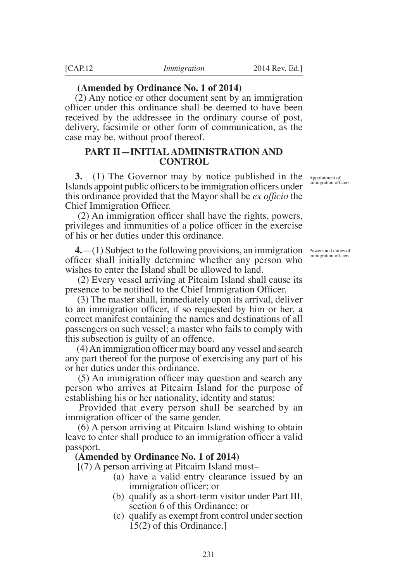### **(Amended by Ordinance No. 1 of 2014)**

(2) Any notice or other document sent by an immigration officer under this ordinance shall be deemed to have been received by the addressee in the ordinary course of post, delivery, facsimile or other form of communication, as the case may be, without proof thereof.

### **PART II—INITIAL ADMINISTRATION AND CONTROL**

**3.** (1) The Governor may by notice published in the Islands appoint public officers to be immigration officers under this ordinance provided that the Mayor shall be *ex officio* the Chief Immigration Officer.

(2) An immigration officer shall have the rights, powers, privileges and immunities of a police officer in the exercise of his or her duties under this ordinance.

**4.**  $-(1)$  Subject to the following provisions, an immigration *Powers and duties of* officer shall initially determine whether any person who wishes to enter the Island shall be allowed to land.

 (2) Every vessel arriving at Pitcairn Island shall cause its presence to be notified to the Chief Immigration Officer.

 (3) The master shall, immediately upon its arrival, deliver to an immigration officer, if so requested by him or her, a correct manifest containing the names and destinations of all passengers on such vessel; a master who fails to comply with this subsection is guilty of an offence.

(4)An immigration officer may board any vessel and search any part thereof for the purpose of exercising any part of his or her duties under this ordinance.

(5) An immigration officer may question and search any person who arrives at Pitcairn Island for the purpose of establishing his or her nationality, identity and status:

 Provided that every person shall be searched by an immigration officer of the same gender.

 (6) A person arriving at Pitcairn Island wishing to obtain leave to enter shall produce to an immigration officer a valid passport.

#### **(Amended by Ordinance No. 1 of 2014)**

[(7) A person arriving at Pitcairn Island must–

- (a) have a valid entry clearance issued by an immigration officer; or
- (b) qualify as a short-term visitor under Part III, section 6 of this Ordinance; or
- (c) qualify as exempt from control under section 15(2) of this Ordinance.]

Appointment of immigration officers

immigration officers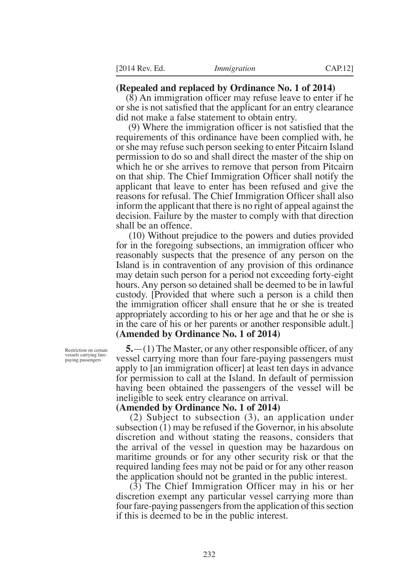### **(Repealed and replaced by Ordinance No. 1 of 2014)**

(8) An immigration officer may refuse leave to enter if he or she is not satisfied that the applicant for an entry clearance did not make a false statement to obtain entry.

(9) Where the immigration officer is not satisfied that the requirements of this ordinance have been complied with, he or she may refuse such person seeking to enter Pitcairn Island permission to do so and shall direct the master of the ship on which he or she arrives to remove that person from Pitcairn on that ship. The Chief Immigration Officer shall notify the applicant that leave to enter has been refused and give the reasons for refusal. The Chief Immigration Officer shall also inform the applicant that there is no right of appeal against the decision. Failure by the master to comply with that direction shall be an offence.

 (10) Without prejudice to the powers and duties provided for in the foregoing subsections, an immigration officer who reasonably suspects that the presence of any person on the Island is in contravention of any provision of this ordinance may detain such person for a period not exceeding forty-eight hours. Any person so detained shall be deemed to be in lawful custody. [Provided that where such a person is a child then the immigration officer shall ensure that he or she is treated appropriately according to his or her age and that he or she is in the care of his or her parents or another responsible adult.] **(Amended by Ordinance No. 1 of 2014)**

**5.**—(1) The Master, or any other responsible officer, of any vessel carrying more than four fare-paying passengers must apply to [an immigration officer] at least ten days in advance for permission to call at the Island. In default of permission having been obtained the passengers of the vessel will be ineligible to seek entry clearance on arrival.

#### **(Amended by Ordinance No. 1 of 2014)**

 (2) Subject to subsection (3), an application under subsection (1) may be refused if the Governor, in his absolute discretion and without stating the reasons, considers that the arrival of the vessel in question may be hazardous on maritime grounds or for any other security risk or that the required landing fees may not be paid or for any other reason the application should not be granted in the public interest.

(3) The Chief Immigration Officer may in his or her discretion exempt any particular vessel carrying more than four fare-paying passengers from the application of this section if this is deemed to be in the public interest.

Restriction on certain vessels carrying farepaying passengers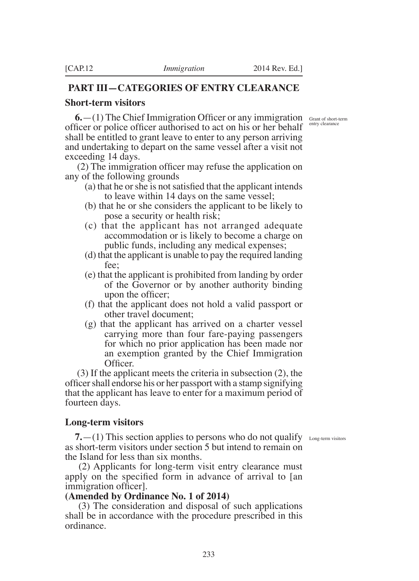# **PART III—CATEGORIES OF ENTRY CLEARANCE**

### **Short-term visitors**

entry clearance

**6.**  $-(1)$  The Chief Immigration Officer or any immigration Grant of short-term officer or police officer authorised to act on his or her behalf shall be entitled to grant leave to enter to any person arriving and undertaking to depart on the same vessel after a visit not exceeding 14 days.

(2) The immigration officer may refuse the application on any of the following grounds

- (a) that he orshe is notsatisfied that the applicant intends to leave within 14 days on the same vessel;
- (b) that he or she considers the applicant to be likely to pose a security or health risk;
- (c) that the applicant has not arranged adequate accommodation or is likely to become a charge on public funds, including any medical expenses;
- (d) that the applicant is unable to pay the required landing fee;
- (e) that the applicant is prohibited from landing by order of the Governor or by another authority binding upon the officer;
- (f) that the applicant does not hold a valid passport or other travel document;
- (g) that the applicant has arrived on a charter vessel carrying more than four fare-paying passengers for which no prior application has been made nor an exemption granted by the Chief Immigration Officer.

 (3) If the applicant meets the criteria in subsection (2), the officershall endorse his or her passport with a stamp signifying that the applicant has leave to enter for a maximum period of fourteen days.

# **Long-term visitors**

**7.**  $-$  (1) This section applies to persons who do not qualify Long-term visitors as short-term visitors under section 5 but intend to remain on the Island for less than six months.

 (2) Applicants for long-term visit entry clearance must apply on the specified form in advance of arrival to [an immigration officer].

# **(Amended by Ordinance No. 1 of 2014)**

 (3) The consideration and disposal of such applications shall be in accordance with the procedure prescribed in this ordinance.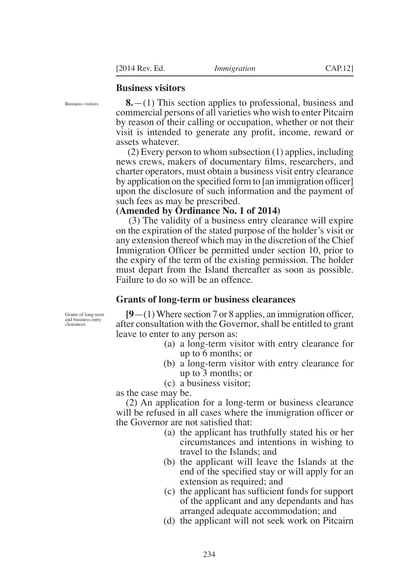### **Business visitors**

Business visitors

**8.**—(1) This section applies to professional, business and commercial persons of all varieties who wish to enter Pitcairn by reason of their calling or occupation, whether or not their visit is intended to generate any profit, income, reward or assets whatever.

 (2) Every person to whom subsection (1) applies, including news crews, makers of documentary films, researchers, and charter operators, must obtain a business visit entry clearance by application on the specified form to [an immigration officer] upon the disclosure of such information and the payment of such fees as may be prescribed.

**(Amended by Ordinance No. 1 of 2014)**

 (3) The validity of a business entry clearance will expire on the expiration of the stated purpose of the holder's visit or any extension thereof which may in the discretion of the Chief Immigration Officer be permitted under section 10, prior to the expiry of the term of the existing permission. The holder must depart from the Island thereafter as soon as possible. Failure to do so will be an offence.

### **Grants of long-term or business clearances**

Grants of long-term and business entry clearances

**[9**—(1)Where section 7 or 8 applies, an immigration officer, after consultation with the Governor, shall be entitled to grant leave to enter to any person as:

- (a) a long-term visitor with entry clearance for up to 6 months; or
- (b) a long-term visitor with entry clearance for up to 3 months; or
- (c) a business visitor;

as the case may be.

(2) An application for a long-term or business clearance will be refused in all cases where the immigration officer or the Governor are not satisfied that:

- (a) the applicant has truthfully stated his or her circumstances and intentions in wishing to travel to the Islands; and
- (b) the applicant will leave the Islands at the end of the specified stay or will apply for an extension as required; and
- (c) the applicant has sufficient funds for support of the applicant and any dependants and has arranged adequate accommodation; and
- (d) the applicant will not seek work on Pitcairn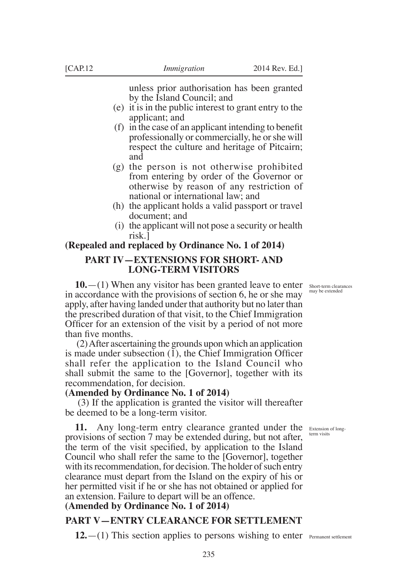unless prior authorisation has been granted by the Island Council; and

- (e) it is in the public interest to grant entry to the applicant; and
- (f) in the case of an applicant intending to benefit professionally or commercially, he or she will respect the culture and heritage of Pitcairn; and
- (g) the person is not otherwise prohibited from entering by order of the Governor or otherwise by reason of any restriction of national or international law; and
- (h) the applicant holds a valid passport or travel document; and
- (i) the applicant will not pose a security or health risk.]

### **(Repealed and replaced by Ordinance No. 1 of 2014)**

### **PART IV—EXTENSIONS FOR SHORT- AND LONG-TERM VISITORS**

**10.** - (1) When any visitor has been granted leave to enter short-term clearances in accordance with the provisions of section 6, he or she may apply, after having landed under that authority but no later than the prescribed duration of that visit, to the Chief Immigration Officer for an extension of the visit by a period of not more than five months.

 (2) After ascertaining the grounds upon which an application is made under subsection (1), the Chief Immigration Officer shall refer the application to the Island Council who shall submit the same to the [Governor], together with its recommendation, for decision.

### **(Amended by Ordinance No. 1 of 2014)**

 (3) If the application is granted the visitor will thereafter be deemed to be a long-term visitor.

term visits

11. Any long-term entry clearance granted under the Extension of longprovisions of section 7 may be extended during, but not after, the term of the visit specified, by application to the Island Council who shall refer the same to the [Governor], together with its recommendation, for decision. The holder of such entry clearance must depart from the Island on the expiry of his or her permitted visit if he or she has not obtained or applied for an extension. Failure to depart will be an offence.

# **(Amended by Ordinance No. 1 of 2014)**

# **PART V—ENTRY CLEARANCE FOR SETTLEMENT**

12. - (1) This section applies to persons wishing to enter Permanent settlement

may be extended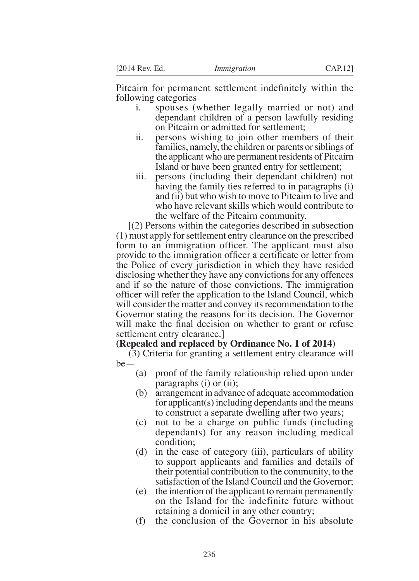Pitcairn for permanent settlement indefinitely within the following categories

- i. spouses (whether legally married or not) and dependant children of a person lawfully residing on Pitcairn or admitted for settlement;
- ii. persons wishing to join other members of their families, namely, the children or parents or siblings of the applicant who are permanent residents of Pitcairn Island or have been granted entry for settlement;
- iii. persons (including their dependant children) not having the family ties referred to in paragraphs (i) and (ii) but who wish to move to Pitcairn to live and who have relevant skills which would contribute to the welfare of the Pitcairn community.

 [(2) Persons within the categories described in subsection (1) must apply for settlement entry clearance on the prescribed form to an immigration officer. The applicant must also provide to the immigration officer a certificate or letter from the Police of every jurisdiction in which they have resided disclosing whether they have any convictions for any offences and if so the nature of those convictions. The immigration officer will refer the application to the Island Council, which will consider the matter and convey its recommendation to the Governor stating the reasons for its decision. The Governor will make the final decision on whether to grant or refuse settlement entry clearance.]

# **(Repealed and replaced by Ordinance No. 1 of 2014)**

 (3) Criteria for granting a settlement entry clearance will be—

- (a) proof of the family relationship relied upon under paragraphs (i) or (ii);
- (b) arrangement in advance of adequate accommodation for applicant(s) including dependants and the means to construct a separate dwelling after two years;
- (c) not to be a charge on public funds (including dependants) for any reason including medical condition;
- (d) in the case of category (iii), particulars of ability to support applicants and families and details of their potential contribution to the community, to the satisfaction of the Island Council and the Governor;
- (e) the intention of the applicant to remain permanently on the Island for the indefinite future without retaining a domicil in any other country;
- (f) the conclusion of the Governor in his absolute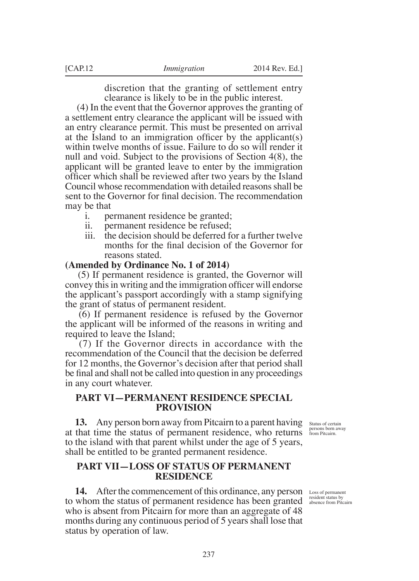discretion that the granting of settlement entry clearance is likely to be in the public interest.

 (4) In the event that the Governor approves the granting of a settlement entry clearance the applicant will be issued with an entry clearance permit. This must be presented on arrival at the Island to an immigration officer by the applicant(s) within twelve months of issue. Failure to do so will render it null and void. Subject to the provisions of Section 4(8), the applicant will be granted leave to enter by the immigration officer which shall be reviewed after two years by the Island Council whose recommendation with detailed reasons shall be sent to the Governor for final decision. The recommendation may be that

- i. permanent residence be granted;
- ii. permanent residence be refused;
- iii. the decision should be deferred for a further twelve months for the final decision of the Governor for reasons stated.

#### **(Amended by Ordinance No. 1 of 2014)**

 (5) If permanent residence is granted, the Governor will convey this in writing and the immigration officer will endorse the applicant's passport accordingly with a stamp signifying the grant of status of permanent resident.

 (6) If permanent residence is refused by the Governor the applicant will be informed of the reasons in writing and required to leave the Island;

 (7) If the Governor directs in accordance with the recommendation of the Council that the decision be deferred for 12 months, the Governor's decision after that period shall be final and shall not be called into question in any proceedings in any court whatever.

### **PART VI—PERMANENT RESIDENCE SPECIAL PROVISION**

**13.** Any person born away from Pitcairn to a parent having Status of certain at that time the status of permanent residence, who returns **persons born away** to the island with that parent whilst under the age of 5 years, shall be entitled to be granted permanent residence.

# **PART VII—LOSS OF STATUS OF PERMANENT RESIDENCE**

**14.** After the commencement of this ordinance, any person 14. After the commencement of this ordinance, any person Loss of permanent to whom the status of permanent residence has been granted  $\frac{\text{resident} \times \text{resident} \times \text{resident}}{\text{absence from Pitecair}}$ who is absent from Pitcairn for more than an aggregate of 48 months during any continuous period of 5 years shall lose that status by operation of law.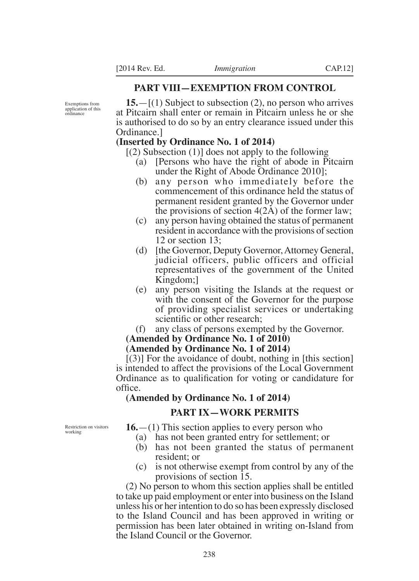### **PART VIII—EXEMPTION FROM CONTROL**

Exemptions from application of this ordinance

**15.**—[(1) Subject to subsection (2), no person who arrives at Pitcairn shall enter or remain in Pitcairn unless he or she is authorised to do so by an entry clearance issued under this Ordinance.]

### **(Inserted by Ordinance No. 1 of 2014)**

 $[(2)$  Subsection  $(1)]$  does not apply to the following

- (a) [Persons who have the right of abode in Pitcairn under the Right of Abode Ordinance 2010];
- (b) any person who immediately before the commencement of this ordinance held the status of permanent resident granted by the Governor under the provisions of section 4(2A) of the former law;
- (c) any person having obtained the status of permanent resident in accordance with the provisions of section 12 or section 13;
- (d) [the Governor, Deputy Governor, Attorney General, judicial officers, public officers and official representatives of the government of the United Kingdom;]
- (e) any person visiting the Islands at the request or with the consent of the Governor for the purpose of providing specialist services or undertaking scientific or other research;
- (f) any class of persons exempted by the Governor.

#### **(Amended by Ordinance No. 1 of 2010)**

#### **(Amended by Ordinance No. 1 of 2014)**

[(3)] For the avoidance of doubt, nothing in [this section] is intended to affect the provisions of the Local Government Ordinance as to qualification for voting or candidature for office.

### **(Amended by Ordinance No. 1 of 2014)**

### **PART IX—WORK PERMITS**

Restriction on visitors working

- **16.**—(1) This section applies to every person who
	- (a) has not been granted entry for settlement; or
	- (b) has not been granted the status of permanent resident; or
	- (c) is not otherwise exempt from control by any of the provisions of section 15.

(2) No person to whom this section applies shall be entitled to take up paid employment or enter into business on the Island unless his or her intention to do so has been expressly disclosed to the Island Council and has been approved in writing or permission has been later obtained in writing on-Island from the Island Council or the Governor.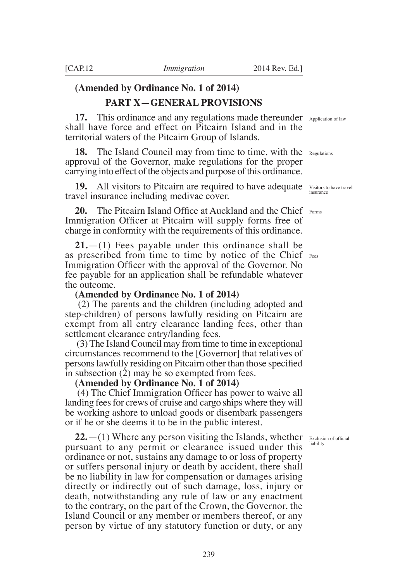# **(Amended by Ordinance No. 1 of 2014)**

# **PART X—GENERAL PROVISIONS**

**17.** This ordinance and any regulations made thereunder Application of law shall have force and effect on Pitcairn Island and in the territorial waters of the Pitcairn Group of Islands.

**18.** The Island Council may from time to time, with the Regulations approval of the Governor, make regulations for the proper carrying into effect of the objects and purpose of this ordinance.

**19.** All visitors to Pitcairn are required to have adequate Visitors to have travel travel insurance including medivac cover.

**20.** The Pitcairn Island Office at Auckland and the Chief Forms Immigration Officer at Pitcairn will supply forms free of charge in conformity with the requirements of this ordinance.

**21.**—(1) Fees payable under this ordinance shall be as prescribed from time to time by notice of the Chief Fees Immigration Officer with the approval of the Governor. No fee payable for an application shall be refundable whatever the outcome.

#### **(Amended by Ordinance No. 1 of 2014)**

 (2) The parents and the children (including adopted and step-children) of persons lawfully residing on Pitcairn are exempt from all entry clearance landing fees, other than settlement clearance entry/landing fees.

 (3) The Island Council may from time to time in exceptional circumstances recommend to the [Governor] that relatives of personslawfully residing on Pitcairn other than those specified in subsection (2) may be so exempted from fees.

#### **(Amended by Ordinance No. 1 of 2014)**

(4) The Chief Immigration Officer has power to waive all landing fees for crews of cruise and cargo ships where they will be working ashore to unload goods or disembark passengers or if he or she deems it to be in the public interest.

Exclusion of official liability

insurance

**22.**—(1) Where any person visiting the Islands, whether pursuant to any permit or clearance issued under this ordinance or not, sustains any damage to or loss of property or suffers personal injury or death by accident, there shall be no liability in law for compensation or damages arising directly or indirectly out of such damage, loss, injury or death, notwithstanding any rule of law or any enactment to the contrary, on the part of the Crown, the Governor, the Island Council or any member or members thereof, or any person by virtue of any statutory function or duty, or any